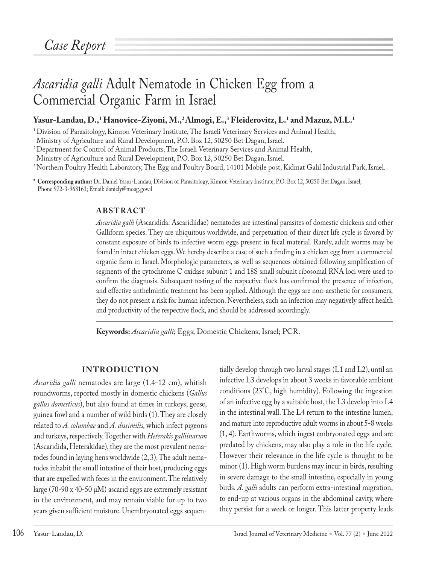# *Ascaridia galli* Adult Nematode in Chicken Egg from a Commercial Organic Farm in Israel

## $Y$ asur-Landau, D.,<del>'</del> Hanovice-Ziyoni, M.,<sup>2</sup>Almogi, E.,<sup>3</sup> Fleiderovitz, L.' and Mazuz, M.L.'

<sup>1</sup> Division of Parasitology, Kimron Veterinary Institute, The Israeli Veterinary Services and Animal Health,

Ministry of Agriculture and Rural Development, P.O. Box 12, 50250 Bet Dagan, Israel.

<sup>2</sup> Department for Control of Animal Products, The Israeli Veterinary Services and Animal Health,

Ministry of Agriculture and Rural Development, P.O. Box 12, 50250 Bet Dagan, Israel.

<sup>3</sup> Northern Poultry Health Laboratory, The Egg and Poultry Board, 14101 Mobile post, Kidmat Galil Industrial Park, Israel.

**\* Corresponding author:** Dr. Daniel Yasur-Landau, Division of Parasitology, Kimron Veterinary Institute, P.O. Box 12, 50250 Bet Dagan, Israel; Phone 972-3-968163; Email: daniely@moag.gov.il

## **ABSTRACT**

*Ascaridia galli* (Ascaridida: Ascaridiidae) nematodes are intestinal parasites of domestic chickens and other Galliform species. They are ubiquitous worldwide, and perpetuation of their direct life cycle is favored by constant exposure of birds to infective worm eggs present in fecal material. Rarely, adult worms may be found in intact chicken eggs. We hereby describe a case of such a finding in a chicken egg from a commercial organic farm in Israel. Morphologic parameters, as well as sequences obtained following amplification of segments of the cytochrome C oxidase subunit 1 and 18S small subunit ribosomal RNA loci were used to confirm the diagnosis. Subsequent testing of the respective flock has confirmed the presence of infection, and effective anthelmintic treatment has been applied. Although the eggs are non-aesthetic for consumers, they do not present a risk for human infection. Nevertheless, such an infection may negatively affect health and productivity of the respective flock, and should be addressed accordingly.

**Keywords:** *Ascaridia galli*; Eggs; Domestic Chickens; Israel; PCR.

## **INTRODUCTION**

*Ascaridia galli* nematodes are large (1.4-12 cm), whitish roundworms, reported mostly in domestic chickens (*Gallus gallus domesticus*), but also found at times in turkeys, geese, guinea fowl and a number of wild birds (1). They are closely related to *A. columbae* and *A. dissimilis,* which infect pigeons and turkeys, respectively. Together with *Heterakis galliinarum* (Ascaridida, Heterakidae), they are the most prevalent nematodes found in laying hens worldwide (2, 3). The adult nematodes inhabit the small intestine of their host, producing eggs that are expelled with feces in the environment. The relatively large (70-90 x 40-50  $\mu$ M) ascarid eggs are extremely resistant in the environment, and may remain viable for up to two years given sufficient moisture. Unembryonated eggs sequentially develop through two larval stages (L1 and L2), until an infective L3 develops in about 3 weeks in favorable ambient conditions (23°C, high humidity). Following the ingestion of an infective egg by a suitable host, the L3 develop into L4 in the intestinal wall. The L4 return to the intestine lumen, and mature into reproductive adult worms in about 5-8 weeks (1, 4). Earthworms, which ingest embryonated eggs and are predated by chickens, may also play a role in the life cycle. However their relevance in the life cycle is thought to be minor (1). High worm burdens may incur in birds, resulting in severe damage to the small intestine, especially in young birds. *A. galli* adults can perform extra-intestinal migration, to end-up at various organs in the abdominal cavity, where they persist for a week or longer. This latter property leads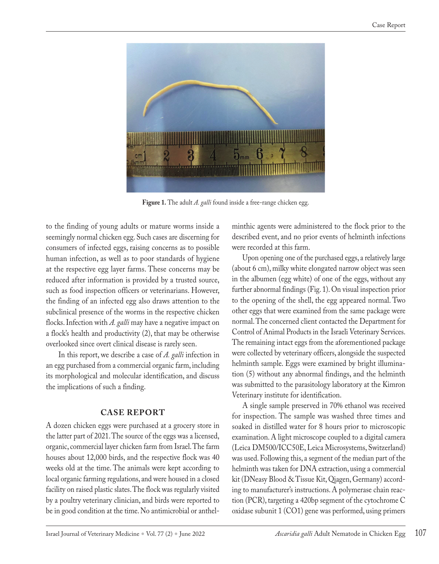

**Figure 1.** The adult *A. galli* found inside a free-range chicken egg.

to the finding of young adults or mature worms inside a seemingly normal chicken egg. Such cases are discerning for consumers of infected eggs, raising concerns as to possible human infection, as well as to poor standards of hygiene at the respective egg layer farms. These concerns may be reduced after information is provided by a trusted source, such as food inspection officers or veterinarians. However, the finding of an infected egg also draws attention to the subclinical presence of the worms in the respective chicken flocks. Infection with *A. galli* may have a negative impact on a flock's health and productivity (2), that may be otherwise overlooked since overt clinical disease is rarely seen.

 In this report, we describe a case of *A. galli* infection in an egg purchased from a commercial organic farm, including its morphological and molecular identification, and discuss the implications of such a finding.

## **CASE REPORT**

A dozen chicken eggs were purchased at a grocery store in the latter part of 2021. The source of the eggs was a licensed, organic, commercial layer chicken farm from Israel. The farm houses about 12,000 birds, and the respective flock was 40 weeks old at the time. The animals were kept according to local organic farming regulations, and were housed in a closed facility on raised plastic slates. The flock was regularly visited by a poultry veterinary clinician, and birds were reported to be in good condition at the time. No antimicrobial or anthelminthic agents were administered to the flock prior to the described event, and no prior events of helminth infections were recorded at this farm.

Upon opening one of the purchased eggs, a relatively large (about 6 cm), milky white elongated narrow object was seen in the albumen (egg white) of one of the eggs, without any further abnormal findings (Fig. 1). On visual inspection prior to the opening of the shell, the egg appeared normal. Two other eggs that were examined from the same package were normal. The concerned client contacted the Department for Control of Animal Products in the Israeli Veterinary Services. The remaining intact eggs from the aforementioned package were collected by veterinary officers, alongside the suspected helminth sample. Eggs were examined by bright illumination (5) without any abnormal findings, and the helminth was submitted to the parasitology laboratory at the Kimron Veterinary institute for identification.

A single sample preserved in 70% ethanol was received for inspection. The sample was washed three times and soaked in distilled water for 8 hours prior to microscopic examination. A light microscope coupled to a digital camera (Leica DM500/ICC50E, Leica Microsystems, Switzerland) was used. Following this, a segment of the median part of the helminth was taken for DNA extraction, using a commercial kit (DNeasy Blood & Tissue Kit, Qiagen, Germany) according to manufacturer's instructions. A polymerase chain reaction (PCR), targeting a 420bp segment of the cytochrome C oxidase subunit 1 (CO1) gene was performed, using primers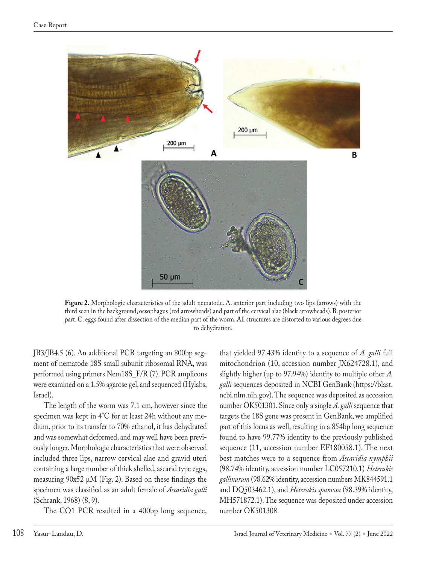

**Figure 2.** Morphologic characteristics of the adult nematode. A. anterior part including two lips (arrows) with the third seen in the background, oesophagus (red arrowheads) and part of the cervical alae (black arrowheads). B. posterior part. C. eggs found after dissection of the median part of the worm. All structures are distorted to various degrees due to dehydration.

JB3/JB4.5 (6). An additional PCR targeting an 800bp segment of nematode 18S small subunit ribosomal RNA, was performed using primers Nem18S\_F/R (7). PCR amplicons were examined on a 1.5% agarose gel, and sequenced (Hylabs, Israel).

The length of the worm was 7.1 cm, however since the specimen was kept in 4°C for at least 24h without any medium, prior to its transfer to 70% ethanol, it has dehydrated and was somewhat deformed, and may well have been previously longer. Morphologic characteristics that were observed included three lips, narrow cervical alae and gravid uteri containing a large number of thick shelled, ascarid type eggs, measuring 90x52 µM (Fig. 2). Based on these findings the specimen was classified as an adult female of *Ascaridia galli*  (Schrank, 1968) (8, 9).

The CO1 PCR resulted in a 400bp long sequence,

that yielded 97.43% identity to a sequence of *A. galli* full mitochondrion (10, accession number JX624728.1), and slightly higher (up to 97.94%) identity to multiple other *A. galli* sequences deposited in NCBI GenBank (https://blast. ncbi.nlm.nih.gov). The sequence was deposited as accession number OK501301. Since only a single *A. galli* sequence that targets the 18S gene was present in GenBank, we amplified part of this locus as well, resulting in a 854bp long sequence found to have 99.77% identity to the previously published sequence (11, accession number EF180058.1). The next best matches were to a sequence from *Ascaridia nymphii* (98.74% identity, accession number LC057210.1) *Heterakis gallinarum* (98.62% identity, accession numbers MK844591.1 and DQ503462.1), and *Heterakis spumosa* (98.39% identity, MH571872.1). The sequence was deposited under accession number OK501308.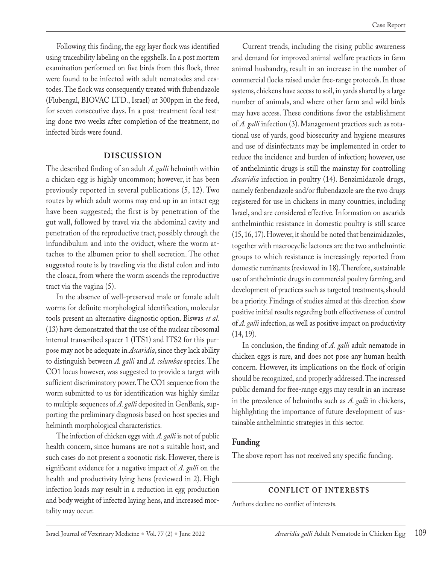Following this finding, the egg layer flock was identified using traceability labeling on the eggshells. In a post mortem examination performed on five birds from this flock, three were found to be infected with adult nematodes and cestodes. The flock was consequently treated with flubendazole (Flubengal, BIOVAC LTD., Israel) at 300ppm in the feed, for seven consecutive days. In a post-treatment fecal testing done two weeks after completion of the treatment, no infected birds were found.

#### **DISCUSSION**

The described finding of an adult *A. galli* helminth within a chicken egg is highly uncommon; however, it has been previously reported in several publications (5, 12). Two routes by which adult worms may end up in an intact egg have been suggested; the first is by penetration of the gut wall, followed by travel via the abdominal cavity and penetration of the reproductive tract, possibly through the infundibulum and into the oviduct, where the worm attaches to the albumen prior to shell secretion. The other suggested route is by traveling via the distal colon and into the cloaca, from where the worm ascends the reproductive tract via the vagina (5).

In the absence of well-preserved male or female adult worms for definite morphological identification, molecular tools present an alternative diagnostic option. Biswas *et al.* (13) have demonstrated that the use of the nuclear ribosomal internal transcribed spacer 1 (ITS1) and ITS2 for this purpose may not be adequate in *Ascaridia*, since they lack ability to distinguish between *A. galli* and *A. columbae* species. The CO1 locus however, was suggested to provide a target with sufficient discriminatory power. The CO1 sequence from the worm submitted to us for identification was highly similar to multiple sequences of *A. galli* deposited in GenBank, supporting the preliminary diagnosis based on host species and helminth morphological characteristics.

The infection of chicken eggs with *A. galli* is not of public health concern, since humans are not a suitable host, and such cases do not present a zoonotic risk. However, there is significant evidence for a negative impact of *A. galli* on the health and productivity lying hens (reviewed in 2). High infection loads may result in a reduction in egg production and body weight of infected laying hens, and increased mortality may occur.

Current trends, including the rising public awareness and demand for improved animal welfare practices in farm animal husbandry, result in an increase in the number of commercial flocks raised under free-range protocols. In these systems, chickens have access to soil, in yards shared by a large number of animals, and where other farm and wild birds may have access. These conditions favor the establishment of *A. galli* infection (3). Management practices such as rotational use of yards, good biosecurity and hygiene measures and use of disinfectants may be implemented in order to reduce the incidence and burden of infection; however, use of anthelmintic drugs is still the mainstay for controlling *Ascaridia* infection in poultry (14). Benzimidazole drugs, namely fenbendazole and/or flubendazole are the two drugs registered for use in chickens in many countries, including Israel, and are considered effective. Information on ascarids anthelminthic resistance in domestic poultry is still scarce (15, 16, 17). However, it should be noted that benzimidazoles, together with macrocyclic lactones are the two anthelmintic groups to which resistance is increasingly reported from domestic ruminants (reviewed in 18). Therefore, sustainable use of anthelmintic drugs in commercial poultry farming, and development of practices such as targeted treatments, should be a priority. Findings of studies aimed at this direction show positive initial results regarding both effectiveness of control of *A. galli* infection, as well as positive impact on productivity (14, 19).

In conclusion, the finding of *A. galli* adult nematode in chicken eggs is rare, and does not pose any human health concern. However, its implications on the flock of origin should be recognized, and properly addressed. The increased public demand for free-range eggs may result in an increase in the prevalence of helminths such as *A. galli* in chickens, highlighting the importance of future development of sustainable anthelmintic strategies in this sector.

### **Funding**

The above report has not received any specific funding.

### **CONFLICT OF INTERESTS**

Authors declare no conflict of interests.